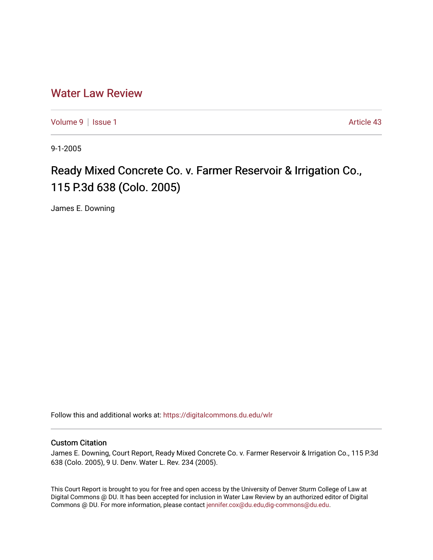## [Water Law Review](https://digitalcommons.du.edu/wlr)

[Volume 9](https://digitalcommons.du.edu/wlr/vol9) | [Issue 1](https://digitalcommons.du.edu/wlr/vol9/iss1) Article 43

9-1-2005

## Ready Mixed Concrete Co. v. Farmer Reservoir & Irrigation Co., 115 P.3d 638 (Colo. 2005)

James E. Downing

Follow this and additional works at: [https://digitalcommons.du.edu/wlr](https://digitalcommons.du.edu/wlr?utm_source=digitalcommons.du.edu%2Fwlr%2Fvol9%2Fiss1%2F43&utm_medium=PDF&utm_campaign=PDFCoverPages) 

## Custom Citation

James E. Downing, Court Report, Ready Mixed Concrete Co. v. Farmer Reservoir & Irrigation Co., 115 P.3d 638 (Colo. 2005), 9 U. Denv. Water L. Rev. 234 (2005).

This Court Report is brought to you for free and open access by the University of Denver Sturm College of Law at Digital Commons @ DU. It has been accepted for inclusion in Water Law Review by an authorized editor of Digital Commons @ DU. For more information, please contact [jennifer.cox@du.edu,dig-commons@du.edu.](mailto:jennifer.cox@du.edu,dig-commons@du.edu)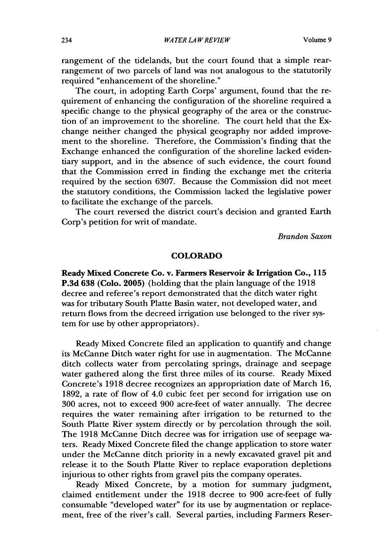rangement of the tidelands, but the court found that a simple rearrangement of two parcels of land was not analogous to the statutorily required "enhancement of the shoreline."

The court, in adopting Earth Corps' argument, found that the requirement of enhancing the configuration of the shoreline required a specific change to the physical geography of the area or the construction of an improvement to the shoreline. The court held that the Exchange neither changed the physical geography nor added improvement to the shoreline. Therefore, the Commission's finding that the Exchange enhanced the configuration of the shoreline lacked evidentiary support, and in the absence of such evidence, the court found that the Commission erred in finding the exchange met the criteria required by the section 6307. Because the Commission did not meet the statutory conditions, the Commission lacked the legislative power to facilitate the exchange of the parcels.

The court reversed the district court's decision and granted Earth Corp's petition for writ of mandate.

*Brandon Saxon*

## COLORADO

**Ready Mixed Concrete Co. v. Farmers Reservoir & Irrigation Co., 115 P.3d 638 (Colo. 2005)** (holding that the plain language of the **1918** decree and referee's report demonstrated that the ditch water right was for tributary South Platte Basin water, not developed water, and return flows from the decreed irrigation use belonged to the river system for use by other appropriators).

Ready Mixed Concrete filed an application to quantify and change its McCanne Ditch water right for use in augmentation. The McCanne ditch collects water from percolating springs, drainage and seepage water gathered along the first three miles of its course. Ready Mixed Concrete's 1918 decree recognizes an appropriation date of March 16, 1892, a rate of flow of 4.0 cubic feet per second for irrigation use on 300 acres, not to exceed 900 acre-feet of water annually. The decree requires the water remaining after irrigation to be returned to the South Platte River system directly or by percolation through the soil. The 1918 McCanne Ditch decree was for irrigation use of seepage waters. Ready Mixed Concrete filed the change application to store water under the McCanne ditch priority in a newly excavated gravel pit and release it to the South Platte River to replace evaporation depletions injurious to other rights from gravel pits the company operates.

Ready Mixed Concrete, by a motion for summary judgment, claimed entitlement under the 1918 decree to 900 acre-feet of fully consumable "developed water" for its use by augmentation or replacement, free of the river's call. Several parties, including Farmers Reser-